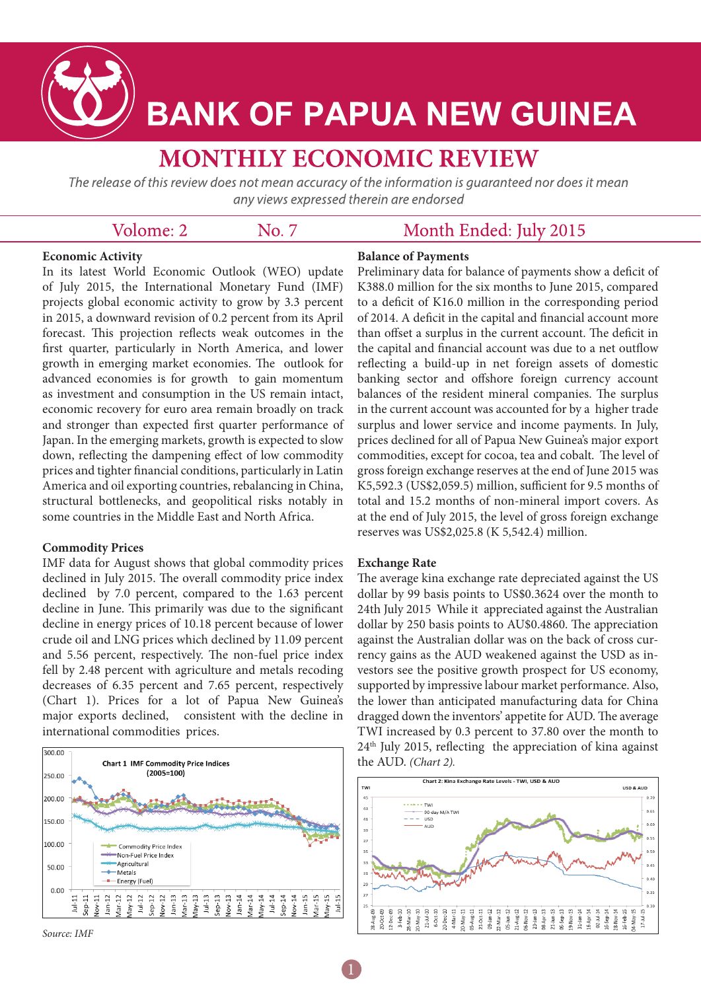

# **BANK OF PAPUA NEW GUINEA**

## **MONTHLY ECONOMIC REVIEW**

The release of this review does not mean accuracy of the information is guaranteed nor does it mean any views expressed therein are endorsed

| Volome: 2 | No. 7 | Month Ended: |
|-----------|-------|--------------|
|           |       |              |

#### **Economic Activity**

In its latest World Economic Outlook (WEO) update of July 2015, the International Monetary Fund (IMF) projects global economic activity to grow by 3.3 percent in 2015, a downward revision of 0.2 percent from its April forecast. This projection reflects weak outcomes in the first quarter, particularly in North America, and lower growth in emerging market economies. The outlook for advanced economies is for growth to gain momentum as investment and consumption in the US remain intact, economic recovery for euro area remain broadly on track and stronger than expected first quarter performance of Japan. In the emerging markets, growth is expected to slow down, reflecting the dampening effect of low commodity prices and tighter financial conditions, particularly in Latin America and oil exporting countries, rebalancing in China, structural bottlenecks, and geopolitical risks notably in some countries in the Middle East and North Africa.

#### **Commodity Prices**

IMF data for August shows that global commodity prices declined in July 2015. The overall commodity price index declined by 7.0 percent, compared to the 1.63 percent decline in June. This primarily was due to the significant decline in energy prices of 10.18 percent because of lower crude oil and LNG prices which declined by 11.09 percent and 5.56 percent, respectively. The non-fuel price index fell by 2.48 percent with agriculture and metals recoding decreases of 6.35 percent and 7.65 percent, respectively (Chart 1). Prices for a lot of Papua New Guinea's major exports declined, consistent with the decline in international commodities prices.



*Source: IMF*

#### **Balance of Payments**

Preliminary data for balance of payments show a deficit of K388.0 million for the six months to June 2015, compared to a deficit of K16.0 million in the corresponding period of 2014. A deficit in the capital and financial account more than offset a surplus in the current account. The deficit in the capital and financial account was due to a net outflow reflecting a build-up in net foreign assets of domestic banking sector and offshore foreign currency account balances of the resident mineral companies. The surplus in the current account was accounted for by a higher trade surplus and lower service and income payments. In July, prices declined for all of Papua New Guinea's major export commodities, except for cocoa, tea and cobalt. The level of gross foreign exchange reserves at the end of June 2015 was K5,592.3 (US\$2,059.5) million, sufficient for 9.5 months of total and 15.2 months of non-mineral import covers. As at the end of July 2015, the level of gross foreign exchange reserves was US\$2,025.8 (K 5,542.4) million.

**July 2015** 

#### **Exchange Rate**

The average kina exchange rate depreciated against the US dollar by 99 basis points to US\$0.3624 over the month to 24th July 2015 While it appreciated against the Australian dollar by 250 basis points to AU\$0.4860. The appreciation against the Australian dollar was on the back of cross currency gains as the AUD weakened against the USD as investors see the positive growth prospect for US economy, supported by impressive labour market performance. Also, the lower than anticipated manufacturing data for China dragged down the inventors' appetite for AUD. The average TWI increased by 0.3 percent to 37.80 over the month to  $24<sup>th</sup>$  July 2015, reflecting the appreciation of kina against the AUD. *(Chart 2).*

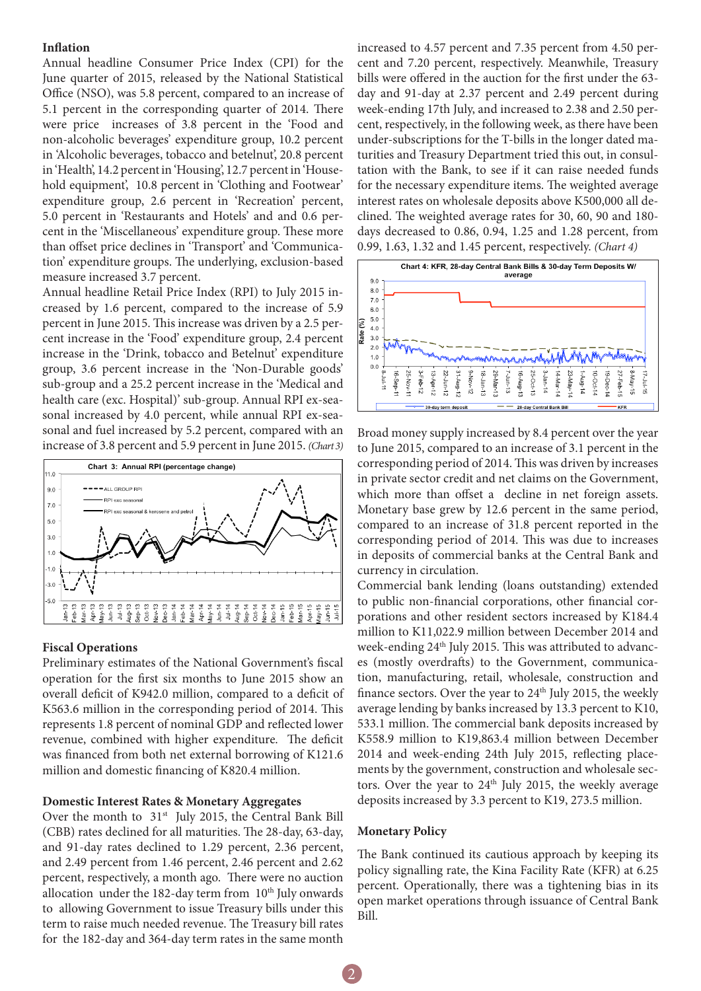#### **Inflation**

Annual headline Consumer Price Index (CPI) for the June quarter of 2015, released by the National Statistical Office (NSO), was 5.8 percent, compared to an increase of 5.1 percent in the corresponding quarter of 2014. There were price increases of 3.8 percent in the 'Food and non-alcoholic beverages' expenditure group, 10.2 percent in 'Alcoholic beverages, tobacco and betelnut', 20.8 percent in 'Health', 14.2 percent in 'Housing', 12.7 percent in 'Household equipment', 10.8 percent in 'Clothing and Footwear' expenditure group, 2.6 percent in 'Recreation' percent, 5.0 percent in 'Restaurants and Hotels' and and 0.6 percent in the 'Miscellaneous' expenditure group. These more than offset price declines in 'Transport' and 'Communication' expenditure groups. The underlying, exclusion-based measure increased 3.7 percent.

Annual headline Retail Price Index (RPI) to July 2015 increased by 1.6 percent, compared to the increase of 5.9 percent in June 2015. This increase was driven by a 2.5 percent increase in the 'Food' expenditure group, 2.4 percent increase in the 'Drink, tobacco and Betelnut' expenditure group, 3.6 percent increase in the 'Non-Durable goods' sub-group and a 25.2 percent increase in the 'Medical and health care (exc. Hospital)' sub-group. Annual RPI ex-seasonal increased by 4.0 percent, while annual RPI ex-seasonal and fuel increased by 5.2 percent, compared with an increase of 3.8 percent and 5.9 percent in June 2015. *(Chart 3)*



#### **Fiscal Operations**

Preliminary estimates of the National Government's fiscal operation for the first six months to June 2015 show an overall deficit of K942.0 million, compared to a deficit of K563.6 million in the corresponding period of 2014. This represents 1.8 percent of nominal GDP and reflected lower revenue, combined with higher expenditure. The deficit was financed from both net external borrowing of K121.6 million and domestic financing of K820.4 million.

#### **Domestic Interest Rates & Monetary Aggregates**

Over the month to 31<sup>st</sup> July 2015, the Central Bank Bill (CBB) rates declined for all maturities. The 28-day, 63-day, and 91-day rates declined to 1.29 percent, 2.36 percent, and 2.49 percent from 1.46 percent, 2.46 percent and 2.62 percent, respectively, a month ago. There were no auction allocation under the 182-day term from 10<sup>th</sup> July onwards to allowing Government to issue Treasury bills under this term to raise much needed revenue. The Treasury bill rates for the 182-day and 364-day term rates in the same month increased to 4.57 percent and 7.35 percent from 4.50 percent and 7.20 percent, respectively. Meanwhile, Treasury bills were offered in the auction for the first under the 63 day and 91-day at 2.37 percent and 2.49 percent during week-ending 17th July, and increased to 2.38 and 2.50 percent, respectively, in the following week, as there have been under-subscriptions for the T-bills in the longer dated maturities and Treasury Department tried this out, in consultation with the Bank, to see if it can raise needed funds for the necessary expenditure items. The weighted average interest rates on wholesale deposits above K500,000 all declined. The weighted average rates for 30, 60, 90 and 180 days decreased to 0.86, 0.94, 1.25 and 1.28 percent, from 0.99, 1.63, 1.32 and 1.45 percent, respectively. *(Chart 4)*



Broad money supply increased by 8.4 percent over the year to June 2015, compared to an increase of 3.1 percent in the corresponding period of 2014. This was driven by increases in private sector credit and net claims on the Government, which more than offset a decline in net foreign assets. Monetary base grew by 12.6 percent in the same period, compared to an increase of 31.8 percent reported in the corresponding period of 2014. This was due to increases in deposits of commercial banks at the Central Bank and currency in circulation.

Commercial bank lending (loans outstanding) extended to public non-financial corporations, other financial corporations and other resident sectors increased by K184.4 million to K11,022.9 million between December 2014 and week-ending 24<sup>th</sup> July 2015. This was attributed to advances (mostly overdrafts) to the Government, communication, manufacturing, retail, wholesale, construction and finance sectors. Over the year to  $24<sup>th</sup>$  July 2015, the weekly average lending by banks increased by 13.3 percent to K10, 533.1 million. The commercial bank deposits increased by K558.9 million to K19,863.4 million between December 2014 and week-ending 24th July 2015, reflecting placements by the government, construction and wholesale sectors. Over the year to  $24<sup>th</sup>$  July 2015, the weekly average deposits increased by 3.3 percent to K19, 273.5 million.

#### **Monetary Policy**

The Bank continued its cautious approach by keeping its policy signalling rate, the Kina Facility Rate (KFR) at 6.25 percent. Operationally, there was a tightening bias in its open market operations through issuance of Central Bank Bill.